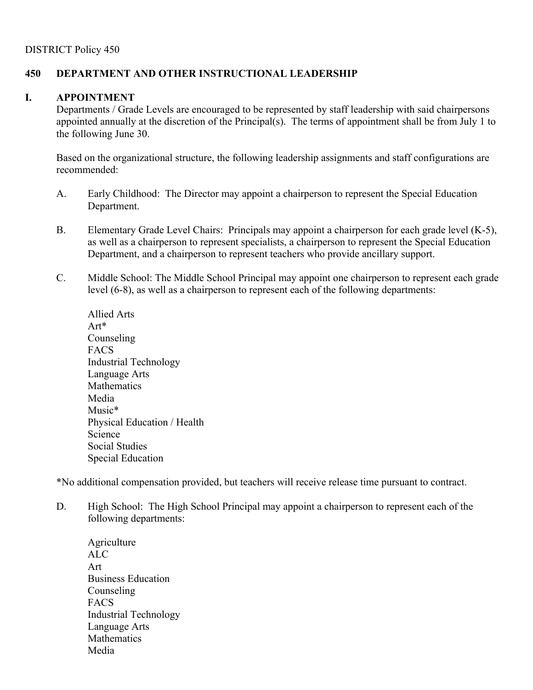## **450 DEPARTMENT AND OTHER INSTRUCTIONAL LEADERSHIP**

## **I. APPOINTMENT**

Departments / Grade Levels are encouraged to be represented by staff leadership with said chairpersons appointed annually at the discretion of the Principal(s). The terms of appointment shall be from July 1 to the following June 30.

Based on the organizational structure, the following leadership assignments and staff configurations are recommended:

- A. Early Childhood: The Director may appoint a chairperson to represent the Special Education Department.
- B. Elementary Grade Level Chairs: Principals may appoint a chairperson for each grade level (K-5), as well as a chairperson to represent specialists, a chairperson to represent the Special Education Department, and a chairperson to represent teachers who provide ancillary support.
- C. Middle School: The Middle School Principal may appoint one chairperson to represent each grade level (6-8), as well as a chairperson to represent each of the following departments:

Allied Arts Art\* Counseling FACS Industrial Technology Language Arts Mathematics Media Music\* Physical Education / Health Science Social Studies Special Education

\*No additional compensation provided, but teachers will receive release time pursuant to contract.

- D. High School: The High School Principal may appoint a chairperson to represent each of the following departments:
	- **Agriculture** ALC Art Business Education Counseling FACS Industrial Technology Language Arts Mathematics Media